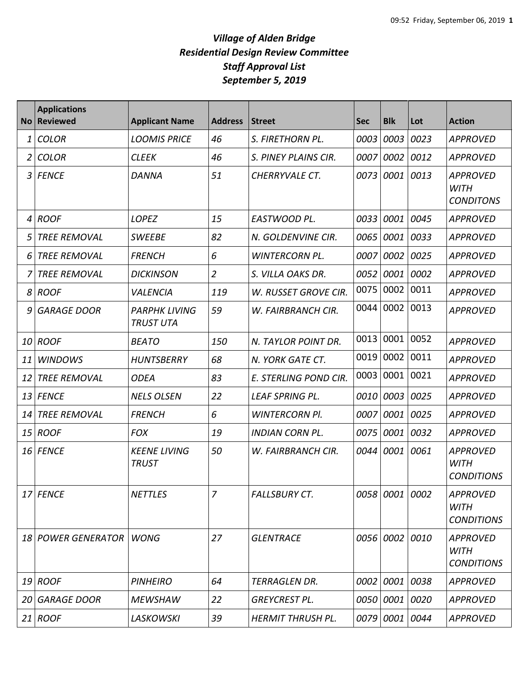| <b>No</b> | <b>Applications</b><br><b>Reviewed</b> | <b>Applicant Name</b>                    | <b>Address</b> | <b>Street</b>            | <b>Sec</b> | <b>Blk</b>     | Lot  | <b>Action</b>                                       |
|-----------|----------------------------------------|------------------------------------------|----------------|--------------------------|------------|----------------|------|-----------------------------------------------------|
| 1         | <b>COLOR</b>                           | <b>LOOMIS PRICE</b>                      | 46             | S. FIRETHORN PL.         | 0003       | 0003           | 0023 | <b>APPROVED</b>                                     |
| 2         | <b>COLOR</b>                           | <b>CLEEK</b>                             | 46             | S. PINEY PLAINS CIR.     | 0007       | 0002           | 0012 | <b>APPROVED</b>                                     |
| 3         | <b>FENCE</b>                           | DANNA                                    | 51             | CHERRYVALE CT.           | 0073       | 0001           | 0013 | <b>APPROVED</b><br><b>WITH</b><br><b>CONDITONS</b>  |
| 4         | <b>ROOF</b>                            | <b>LOPEZ</b>                             | 15             | EASTWOOD PL.             | 0033       | 0001           | 0045 | <b>APPROVED</b>                                     |
| 5         | <b>TREE REMOVAL</b>                    | <b>SWEEBE</b>                            | 82             | N. GOLDENVINE CIR.       | 0065       | 0001           | 0033 | <b>APPROVED</b>                                     |
| 6         | <b>TREE REMOVAL</b>                    | <b>FRENCH</b>                            | 6              | <b>WINTERCORN PL.</b>    | 0007       | 0002           | 0025 | <b>APPROVED</b>                                     |
|           | <b>TREE REMOVAL</b>                    | <b>DICKINSON</b>                         | $\overline{2}$ | S. VILLA OAKS DR.        | 0052       | 0001           | 0002 | <b>APPROVED</b>                                     |
|           | 8 ROOF                                 | <i>VALENCIA</i>                          | 119            | W. RUSSET GROVE CIR.     | 0075       | 0002           | 0011 | <b>APPROVED</b>                                     |
| 9         | <b>GARAGE DOOR</b>                     | <b>PARPHK LIVING</b><br><b>TRUST UTA</b> | 59             | W. FAIRBRANCH CIR.       | 0044       | 0002           | 0013 | <b>APPROVED</b>                                     |
| <i>10</i> | <b>ROOF</b>                            | <b>BEATO</b>                             | 150            | N. TAYLOR POINT DR.      | 0013       | 0001           | 0052 | <b>APPROVED</b>                                     |
| 11        | <b>WINDOWS</b>                         | <b>HUNTSBERRY</b>                        | 68             | N. YORK GATE CT.         | 0019       | 0002           | 0011 | <b>APPROVED</b>                                     |
| 12        | <b>TREE REMOVAL</b>                    | <b>ODEA</b>                              | 83             | E. STERLING POND CIR.    | 0003       | 0001           | 0021 | <b>APPROVED</b>                                     |
| 13        | <b>FENCE</b>                           | <b>NELS OLSEN</b>                        | 22             | <b>LEAF SPRING PL.</b>   | 0010       | 0003           | 0025 | <b>APPROVED</b>                                     |
| 14        | <b>TREE REMOVAL</b>                    | <b>FRENCH</b>                            | 6              | <b>WINTERCORN PI.</b>    | 0007       | 0001           | 0025 | <b>APPROVED</b>                                     |
| 15        | <b>ROOF</b>                            | <b>FOX</b>                               | 19             | <b>INDIAN CORN PL.</b>   | 0075       | 0001           | 0032 | <b>APPROVED</b>                                     |
|           | 16 FENCE                               | <b>KEENE LIVING</b><br><b>TRUST</b>      | 50             | W. FAIRBRANCH CIR.       | 0044       | 0001           | 0061 | <b>APPROVED</b><br><b>WITH</b><br><b>CONDITIONS</b> |
|           | 17 FENCE                               | <b>NETTLES</b>                           | 7              | <b>FALLSBURY CT.</b>     |            | 0058 0001 0002 |      | <b>APPROVED</b><br>WITH<br><b>CONDITIONS</b>        |
|           | 18 POWER GENERATOR                     | <b>WONG</b>                              | 27             | <b>GLENTRACE</b>         |            | 0056 0002 0010 |      | <b>APPROVED</b><br><b>WITH</b><br><b>CONDITIONS</b> |
|           | 19 ROOF                                | <b>PINHEIRO</b>                          | 64             | TERRAGLEN DR.            |            | 0002 0001 0038 |      | <b>APPROVED</b>                                     |
| 20        | <b>GARAGE DOOR</b>                     | <b>MEWSHAW</b>                           | 22             | <b>GREYCREST PL.</b>     |            | 0050 0001 0020 |      | <b>APPROVED</b>                                     |
|           | $21$ ROOF                              | <b>LASKOWSKI</b>                         | 39             | <b>HERMIT THRUSH PL.</b> |            | 0079 0001 0044 |      | <b>APPROVED</b>                                     |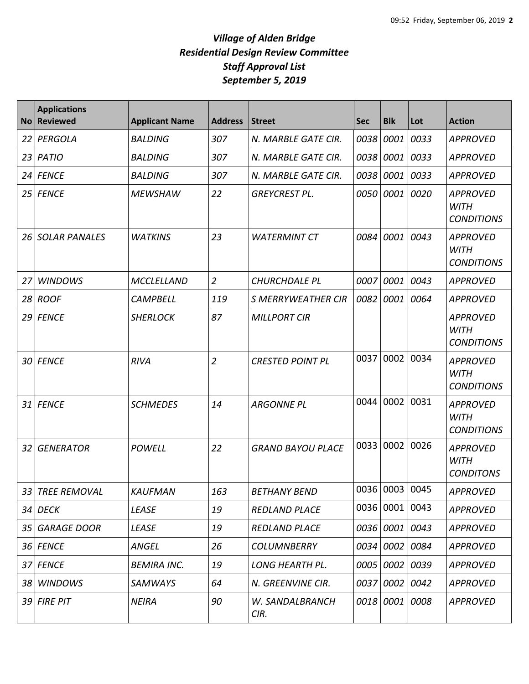| <b>No</b> | <b>Applications</b><br><b>Reviewed</b> | <b>Applicant Name</b> | <b>Address</b> | <b>Street</b>             | <b>Sec</b> | <b>Blk</b>     | Lot  | <b>Action</b>                                       |
|-----------|----------------------------------------|-----------------------|----------------|---------------------------|------------|----------------|------|-----------------------------------------------------|
| 22        | PERGOLA                                | <b>BALDING</b>        | 307            | N. MARBLE GATE CIR.       | 0038       | 0001           | 0033 | <b>APPROVED</b>                                     |
| 23        | <b>PATIO</b>                           | <b>BALDING</b>        | 307            | N. MARBLE GATE CIR.       | 0038       | 0001           | 0033 | <b>APPROVED</b>                                     |
| 24        | <b>FENCE</b>                           | <b>BALDING</b>        | 307            | N. MARBLE GATE CIR.       | 0038       | 0001           | 0033 | <b>APPROVED</b>                                     |
| 25        | <b>FENCE</b>                           | <b>MEWSHAW</b>        | 22             | <b>GREYCREST PL.</b>      | 0050       | 0001           | 0020 | <b>APPROVED</b><br><b>WITH</b><br><b>CONDITIONS</b> |
| 26        | <b>SOLAR PANALES</b>                   | <b>WATKINS</b>        | 23             | <b>WATERMINT CT</b>       | 0084       | 0001           | 0043 | <b>APPROVED</b><br><b>WITH</b><br><b>CONDITIONS</b> |
| 27        | <b>WINDOWS</b>                         | <b>MCCLELLAND</b>     | $\overline{2}$ | <b>CHURCHDALE PL</b>      | 0007       | 0001           | 0043 | <b>APPROVED</b>                                     |
| 28        | <b>ROOF</b>                            | <b>CAMPBELL</b>       | 119            | <b>S MERRYWEATHER CIR</b> | 0082       | 0001           | 0064 | <b>APPROVED</b>                                     |
| 29        | <b>FENCE</b>                           | <b>SHERLOCK</b>       | 87             | <b>MILLPORT CIR</b>       |            |                |      | <b>APPROVED</b><br><b>WITH</b><br><b>CONDITIONS</b> |
| 30        | <b>FENCE</b>                           | <b>RIVA</b>           | $\overline{2}$ | <b>CRESTED POINT PL</b>   | 0037       | 0002           | 0034 | <b>APPROVED</b><br><b>WITH</b><br><b>CONDITIONS</b> |
| 31        | <b>FENCE</b>                           | <b>SCHMEDES</b>       | 14             | <b>ARGONNE PL</b>         | 0044       | 0002           | 0031 | <b>APPROVED</b><br><b>WITH</b><br><b>CONDITIONS</b> |
| 32        | <b>GENERATOR</b>                       | <b>POWELL</b>         | 22             | <b>GRAND BAYOU PLACE</b>  | 0033       | 0002           | 0026 | <b>APPROVED</b><br><b>WITH</b><br><b>CONDITONS</b>  |
|           | 33   TREE REMOVAL                      | <b>KAUFMAN</b>        | 163            | <b>BETHANY BEND</b>       |            | 0036 0003 0045 |      | APPROVED                                            |
|           | 34 DECK                                | <b>LEASE</b>          | 19             | <b>REDLAND PLACE</b>      |            | 0036 0001 0043 |      | <b>APPROVED</b>                                     |
|           | 35 GARAGE DOOR                         | LEASE                 | 19             | <b>REDLAND PLACE</b>      |            | 0036 0001      | 0043 | <b>APPROVED</b>                                     |
|           | 36 FENCE                               | <b>ANGEL</b>          | 26             | <b>COLUMNBERRY</b>        |            | 0034 0002      | 0084 | <b>APPROVED</b>                                     |
| 37        | <b>FENCE</b>                           | <b>BEMIRA INC.</b>    | 19             | <b>LONG HEARTH PL.</b>    |            | 0005 0002      | 0039 | <b>APPROVED</b>                                     |
|           | 38 WINDOWS                             | SAMWAYS               | 64             | N. GREENVINE CIR.         |            | 0037 0002      | 0042 | <b>APPROVED</b>                                     |
|           | 39 FIRE PIT                            | <b>NEIRA</b>          | 90             | W. SANDALBRANCH<br>CIR.   |            | 0018 0001      | 0008 | <b>APPROVED</b>                                     |